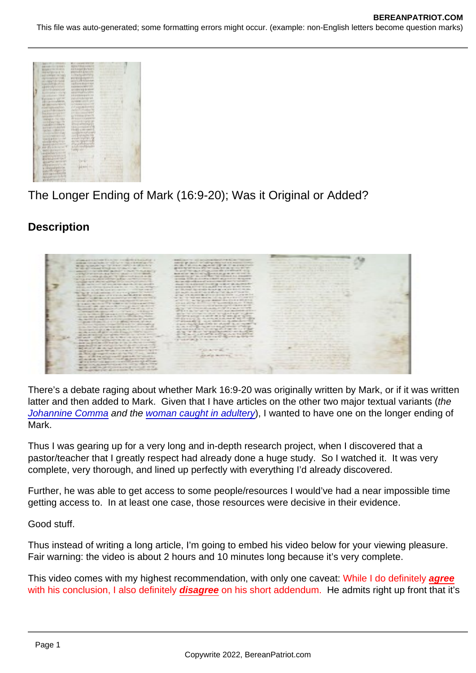## The Longer Ending of Mark (16:9-20); Was it Original or Added?

**Description** 

There's a debate raging about whether Mark 16:9-20 was originally written by Mark, or if it was written latter and then added to Mark. Given that I have articles on the other two major textual variants (the [Johannine Comma](https://www.bereanpatriot.com/the-johannine-comma-of-1-john-57-8-added-or-removed/) and the [woman caught in adultery](https://www.bereanpatriot.com/was-the-pericope-adulterae-woman-caught-in-adultery-original-or-added/)), I wanted to have one on the longer ending of Mark.

Thus I was gearing up for a very long and in-depth research project, when I discovered that a pastor/teacher that I greatly respect had already done a huge study. So I watched it. It was very complete, very thorough, and lined up perfectly with everything I'd already discovered.

Further, he was able to get access to some people/resources I would've had a near impossible time getting access to. In at least one case, those resources were decisive in their evidence.

Good stuff.

Thus instead of writing a long article, I'm going to embed his video below for your viewing pleasure. Fair warning: the video is about 2 hours and 10 minutes long because it's very complete.

This video comes with my highest recommendation, with only one caveat: While I do definitely agree with his conclusion, I also definitely disagree on his short addendum. He admits right up front that it's